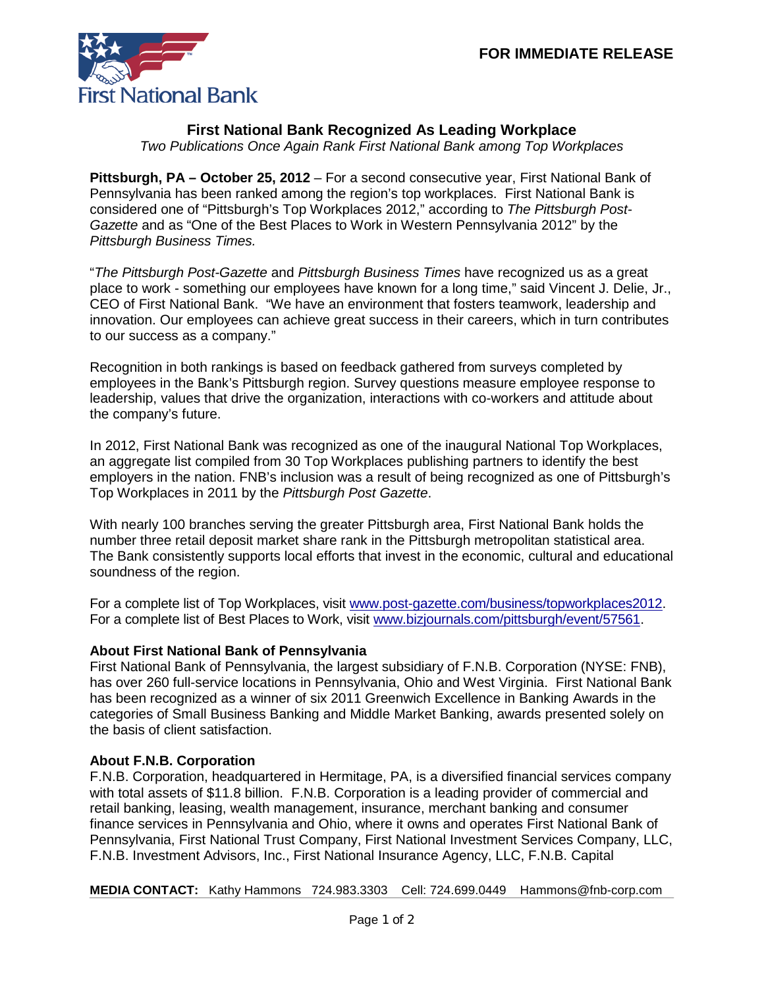

## **First National Bank Recognized As Leading Workplace**

*Two Publications Once Again Rank First National Bank among Top Workplaces*

**Pittsburgh, PA – October 25, 2012** – For a second consecutive year, First National Bank of Pennsylvania has been ranked among the region's top workplaces. First National Bank is considered one of "Pittsburgh's Top Workplaces 2012," according to *The Pittsburgh Post-Gazette* and as "One of the Best Places to Work in Western Pennsylvania 2012" by the *Pittsburgh Business Times.* 

"*The Pittsburgh Post-Gazette* and *Pittsburgh Business Times* have recognized us as a great place to work - something our employees have known for a long time," said Vincent J. Delie, Jr., CEO of First National Bank. "We have an environment that fosters teamwork, leadership and innovation. Our employees can achieve great success in their careers, which in turn contributes to our success as a company."

Recognition in both rankings is based on feedback gathered from surveys completed by employees in the Bank's Pittsburgh region. Survey questions measure employee response to leadership, values that drive the organization, interactions with co-workers and attitude about the company's future.

In 2012, First National Bank was recognized as one of the inaugural National Top Workplaces, an aggregate list compiled from 30 Top Workplaces publishing partners to identify the best employers in the nation. FNB's inclusion was a result of being recognized as one of Pittsburgh's Top Workplaces in 2011 by the *Pittsburgh Post Gazette*.

With nearly 100 branches serving the greater Pittsburgh area, First National Bank holds the number three retail deposit market share rank in the Pittsburgh metropolitan statistical area. The Bank consistently supports local efforts that invest in the economic, cultural and educational soundness of the region.

For a complete list of Top Workplaces, visit [www.post-gazette.com/business/topworkplaces2012](http://www.post-gazette.com/business/topworkplaces2012). For a complete list of Best Places to Work, visit [www.bizjournals.com/pittsburgh/event/57561.](http://www.bizjournals.com/pittsburgh/event/57561)

## **About First National Bank of Pennsylvania**

First National Bank of Pennsylvania, the largest subsidiary of F.N.B. Corporation (NYSE: FNB), has over 260 full-service locations in Pennsylvania, Ohio and West Virginia. First National Bank has been recognized as a winner of six 2011 Greenwich Excellence in Banking Awards in the categories of Small Business Banking and Middle Market Banking, awards presented solely on the basis of client satisfaction.

## **About F.N.B. Corporation**

F.N.B. Corporation, headquartered in Hermitage, PA, is a diversified financial services company with total assets of \$11.8 billion. F.N.B. Corporation is a leading provider of commercial and retail banking, leasing, wealth management, insurance, merchant banking and consumer finance services in Pennsylvania and Ohio, where it owns and operates First National Bank of Pennsylvania, First National Trust Company, First National Investment Services Company, LLC, F.N.B. Investment Advisors, Inc., First National Insurance Agency, LLC, F.N.B. Capital

**MEDIA CONTACT:** Kathy Hammons 724.983.3303 Cell: 724.699.0449 Hammons@fnb-corp.com